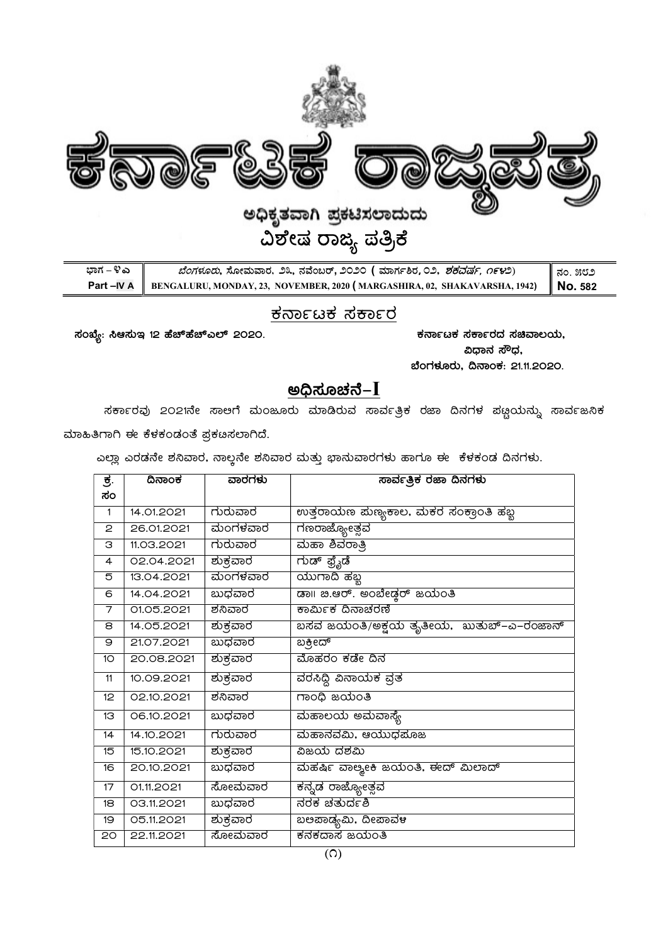

| ಬಾಗ – ೪ ಎ | <i>ಬೆಂಗಳೂರು</i> , ಸೋಮವಾರ, ೨೩, ನವೆಂಬರ್, ೨೦೨೦ ( ಮಾರ್ಗಶಿರ,೦೨, <i>ಶಕದರ್ಷ, ೧೯೪</i> ೨)                            | ∥ ನಂ. ೫೮೨ |
|-----------|-------------------------------------------------------------------------------------------------------------|-----------|
|           | <b>Part – IV A</b> BENGALURU, MONDAY, 23, NOVEMBER, 2020 (MARGASHIRA, 02, SHAKAVARSHA, 1942) <b>NO.</b> 582 |           |

# <u>ಕರ್ನಾಟಕ ಸರ್ಕಾರ</u>

¸ÀASÉå: ¹D¸ÀÄE 12 ºÉZïºÉZïJ¯ï 2020. PÀ£ÁðlPÀ ¸ÀPÁðgÀzÀ ¸ÀaªÁ®AiÀÄ,

ವಿಧಾನ ಸೌಧ, ಬೆಂಗಳೂರು, ದಿನಾಂಕ: 21.11.2020.

# ಅಧಿಸೂಚನೆ $-I$

ಸರ್ಕಾರವು 2021ನೇ ಸಾಆಗೆ ಮಂಜೂರು ಮಾಡಿರುವ ಸಾರ್ವತ್ರಿಕ ರಜಾ ದಿನಗಳ ಪ<u>ಣ್</u>ಣಯನ್ನು ಸಾರ್ವಜನಿಕ ಮಾಹಿತಿಗಾಗಿ ಈ ಕೆಳಕಂಡಂತೆ ಪ್ರಕೞಸಲಾಗಿದೆ.

ಎಲ್ಲಾ ಎರಡನೇ ಶನಿವಾರ, ನಾಲ್ಲನೇ ಶನಿವಾರ ಮತ್ತು ಭಾನುವಾರಗಳು ಹಾಗೂ ಈ ಕೆಳಕಂಡ ದಿನಗಳು.

| ಕ.              | ದಿನಾಂಕ     | ವಾರಗಳು          | <u>ಸಾರ್ವತ್ರಿಕ ರಜಾ ದಿನಗಳು</u>                   |
|-----------------|------------|-----------------|------------------------------------------------|
| ಸಂ              |            |                 |                                                |
| $\mathbf{1}$    | 14.01.2021 | ಗುರುವಾರ         | ಉತ್ತರಾಯಣ ಮಣ್ಯಕಾಲ, ಮಕರ ಸಂಕ್ರಾಂತಿ ಹಬ್ಬ           |
| 2               | 26.01.2021 | ಮಂಗಳವಾರ         | ಗಣರಾಜ್ಯೋತ್ಸವ                                   |
| З               | 11.03.2021 | ಗುರುವಾರ         | ಮಹಾ ಶಿವರಾತ್ರಿ                                  |
| $\overline{4}$  | 02.04.2021 | ಶುಕ್ರವಾರ        | ಗುಡ್ ಫ್ರೈಡೆ                                    |
| 5               | 13.04.2021 | ಮಂಗಳವಾರ         | ಯುಗಾದಿ ಹಬ್ಬ                                    |
| 6               | 14.04.2021 | ಬುಧವಾರ          | ಡಾ   ಜಿ.ಆರ್. ಅಂಬೇಡ್ತರ್ ಜಯಂತಿ                   |
| 7               | 01.05.2021 | ಶನಿವಾರ          | ಕಾರ್ಮಿಕ ದಿನಾಚರಣೆ                               |
| 8               | 14.05.2021 | ಶುಕ್ರವಾರ        | ಬಸವ ಜಯಂತಿ/ಅಕ್ಷಯ ತೃತೀಯ, ಖುತುಬ್–ಎ–ರಂಜಾನ್         |
| 9               | 21.07.2021 | ಬುಧವಾರ          | ಬಕ್ರೀದ್                                        |
| 10 <sup>2</sup> | 20.08.2021 | ಶುಕ್ರವಾರ        | ಮೊಹರಂ ಕಡೇ ದಿನ                                  |
| 11              | 10.09.2021 | <u>ಶುಕ್ರವಾರ</u> | ವರಸಿದ್ದಿ ವಿನಾಯಕ ವ್ರತ                           |
| 12              | 02.10.2021 | ಶನಿವಾರ          | ಗಾಂಧಿ ಜಯಂತಿ                                    |
| 13              | 06.10.2021 | ಬುಧವಾರ          | ಮಹಾಲಯ ಅಮವಾಸ್ಯೆ                                 |
| 14              | 14.10.2021 | ಗುರುವಾರ         | ಮಹಾನವಮಿ, ಆಯುಧಮೊಜ                               |
| 15              | 15.10.2021 | ಶುಕ್ರವಾರ        | ವಿಜಯ ದಶಮಿ                                      |
| 16              | 20.10.2021 | ಬುಧವಾರ          | ಮಹರ್ಷಿ ವಾಲ್ಯಾ <del>ಂಕಿ</del> ಜಯಂತಿ, ಈದ್ ಮಿಲಾದ್ |
| 17              | 01.11.2021 | ಸೋಮವಾರ          | <mark>ಕನ್ನಡ ರಾಜ್ಯೋತ್ಸವ</mark>                  |
| 18              | 03.11.2021 | ಬುಧವಾರ          | ನರಕ ಚತುರ್ದಶಿ                                   |
| 19              | 05.11.2021 | <u>ಶುಕ್ರವಾರ</u> | ಬಅಪಾಡ್ಯಮಿ, ದೀಪಾವಳ                              |
| 20              | 22.11.2021 | ಸೋಮವಾರ          | ಕನಕದಾಸ ಜಯಂತಿ                                   |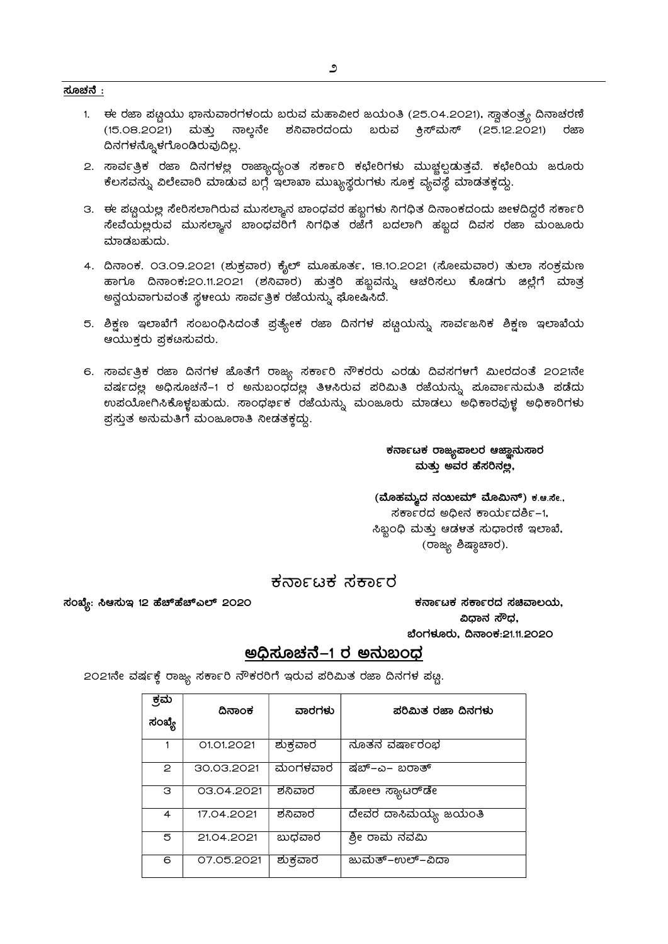- 1. ಈ ರಜಾ ಪಟ್ಟಿಯು ಭಾನುವಾರಗಳಂದು ಬರುವ ಮಹಾವೀರ ಜಯಂತಿ (25.04.2021), ಸ್ವಾತಂತ್ರ್ಯ ದಿನಾಚರಣೆ (15.08.2021) ಮತ್ತು ನಾಲ್ತನೇ ಶನಿವಾರದಂದು ಬರುವ ಕ್ರಿಸ್*ಮಸ್* (25.12.2021) ರಜಾ ದಿನಗಳನ್ನೊಳಗೊಂಡಿರುವುದಿಲ್ಲ.
- 2. ಸಾರ್ವತ್ರಿಕ ರಜಾ ದಿನಗಳಲ್ಲ ರಾಜ್ಯಾದ್ಯಂತ ಸರ್ಕಾರಿ ಕಛೇರಿಗಳು ಮುಚ್ಚಲ್ಪಡುತ್ತವೆ. ಕಛೇರಿಯ ಜರೂರ<mark>ು</mark> ಕೆಲಸವನ್ನು ವಿಲೇವಾರಿ ಮಾಡುವ ಬಗ್ಗೆ ಇಲಾಖಾ ಮುಖ್ಯಸ್ಥರುಗಳು ಸೂಕ್ತ ವ್ಯವಸ್ಥೆ ಮಾಡತಕ್ತದ್ದು.
- 3. ಈ ಪಟ್ಟಿಯಲ್ಲ ಸೇರಿಸಲಾಗಿರುವ ಮುಸಲ್ಯಾನ ಬಾಂಧವರ ಹಬ್ಬಗಳು ನಿಗಧಿತ ದಿನಾಂಕದಂದು ಜೀಳದಿದ್ದರೆ ಸರ್ಕಾರಿ ನೇವೆಯಲ್ಲರುವ ಮುಸಲ್ಯಾನ ಬಾಂಧವರಿಗೆ ನಿಗಧಿತ ರಜೆಗೆ ಬದಲಾಗಿ ಹಬ್ಬದ ದಿವಸ ರಜಾ ಮಂಜೂರ<mark>ು</mark> ಮಾಡಬಹುದು.
- 4. ದಿನಾಂಕ. 03.09.2021 (ಶುಕ್ರವಾರ) ಕೈಲ್ ಮೂಹೂರ್ತ, 18.10.2021 (ಸೋಮವಾರ) ತುಲಾ ಸಂಕ್ರಮಣ ಹಾಗೂ ದಿನಾಂಕ:2೦.11.2೦21 (ಶನಿವಾರ) ಹುತ್ತರಿ ಹಬ್ಬವನ್ನು ಆಚರಿಸಲು ಕೊಡಗು ಜಿಲ್ಲೆಗೆ ಮಾತ್ರ ಅನ್ವಯವಾಗುವಂತೆ ಸ್ಥಳೀಯ ಸಾರ್ವತ್ರಿಕ ರಜೆಯನ್ನು ಘೋಷಿಸಿದೆ.
- 5. ಶಿಕ್ಷಣ ಇಲಾಖೆಗೆ ಸಂಬಂಧಿಸಿದಂತೆ ಪ್ರತ್ಯೇಕ ರಜಾ ದಿನಗಳ ಪ್ಲೂಯನ್ನು ಸಾರ್ವಜನಿಕ ಶಿಕ್ಷಣ ಇಲಾಖೆಯ ಆಯುಕರು ಪ್ರಕಡಿಸುವರು.
- 6. ಸಾರ್ವತ್ರಿಕ ರಜಾ ದಿನಗಳ ಜೊತೆಗೆ ರಾಜ್ಯ ಸರ್ಕಾರಿ ನೌಕರರು ಎರಡು ದಿವಸಗಳಗೆ ಮೀರದಂತೆ 2021ನೇ ವರ್ಷದಲ್ಲ ಅಧಿಸೂಚನೆ–1 ರ ಅನುಬಂಧದಲ್ಲ ತಿಳಸಿರುವ ಪರಿಮಿತಿ ರಜೆಯನ್ನು ಮೂರ್ವಾನುಮತಿ ಪಡೆದು ಉಪಯೋಗಿಸಿಕೊಳ್ಳಬಹುದು. ಸಾಂಧರ್ಭಿಕ ರಜೆಯನ್ನು ಮಂಜೂರು ಮಾಡಲು ಅಧಿಕಾರವುಳ್ಳ ಅಧಿಕಾರಿಗಳು <u>ಪ್ರ</u>ಸ್ತುತ ಅನುಮತಿಗೆ ಮಂಜೂರಾತಿ ನೀಡತಕ್ತದ್ದು.

ಕರ್ನಾಟಕ ರಾಜ್ಯಪಾಲರ ಆಜ್ಞಾನುಸಾರ ಮತ್ತು ಅವರ ಹೆಸರಿನಲ್ಲ,

(ಮೊಹಮ್ಮದ ನಯೀಮ್ ಮೊಮಿನ್) ಕ.ಆ.ಸೇ.,  $\vec{a}$ ರ್ಕಾರದ ಅಧೀನ ಕಾರ್ಯದರ್ಶಿ-1, ಸಿಬ್ಬಂಧಿ ಮತ್ತು ಆಡಳತ ಸುಧಾರಣಿ ಇಲಾಖೆ, (ರಾಜ್ಯ ಶಿಷ್ಠಾಚಾರ).

## ಕರ್ನಾಟಕ ಸರ್ಕಾರ

¸ÀASÉå: ¹D¸ÀÄE 12 ºÉZïºÉZïJ¯ï 2020 PÀ£ÁðlPÀ ¸ÀPÁðgÀzÀ ¸ÀaªÁ®AiÀÄ,

ವಿಧಾನ ಸೌಧ, ಬೆಂಗಳೂರು, ದಿನಾಂಕ:21.11.2020

# ಅಧಿಸೂಚನೆ–1 ರ ಅನುಬಂಧ

2021ನೇ ವರ್ಷಕ್ಕೆ ರಾಜ್ಯ ಸರ್ಕಾರಿ ನೌಕರರಿಗೆ ಇರುವ ಪರಿಮಿತ ರಜಾ ದಿನಗಳ ಪ<u>ಟ್</u>ಣ

| ಕ್ರಮ<br>ಸಂಖ್ಯೆ | ದಿನಾಂಕ     | ವಾರಗಳು   | ಪರಿಮಿತ ರಜಾ ದಿನಗಳು      |
|----------------|------------|----------|------------------------|
| 1              | 01.01.2021 | ಶುಕ್ರವಾರ | ನೂತನ ವರ್ಷಾರಂಭ          |
| 2              | 30.03.2021 | ಮಂಗಳವಾರ  | ಷಬ್–ಎ– ಬರಾತ್           |
| з              | 03.04.2021 | ಶನಿವಾರ   | ಹೋಲ ಸ್ಯಾಟರ್ <b></b> ಡೇ |
| 4              | 17.04.2021 | ಶನಿವಾರ   | ದೇವರ ದಾಸಿಮಯ್ಯ ಜಯಂತಿ    |
| 5              | 21.04.2021 | ಬುಧವಾರ   | ಶ್ರೀ ರಾಮ ನವಮಿ          |
| 6              | 07.05.2021 | ಶುಕ್ರವಾರ | ಜುಮತ್−ಉಲ್−ವಿದಾ         |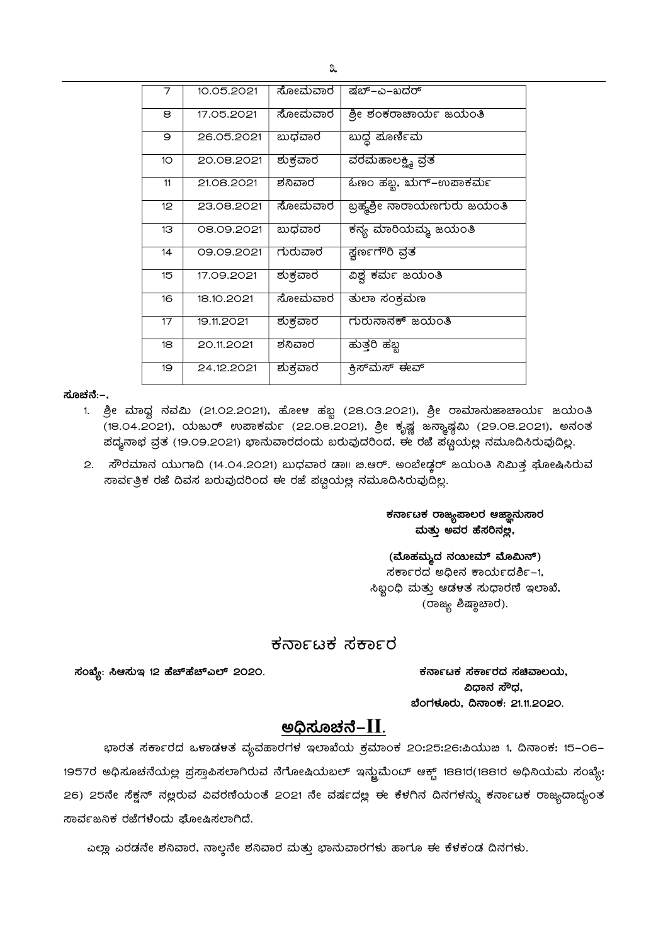| 7                | 10.05.2021 | ಸೋಮವಾರ   | ಷಬ್–ಎ–ಖದರ್                  |
|------------------|------------|----------|-----------------------------|
| 8                | 17.05.2021 | ಸೋಮವಾರ   | ಶ್ರೀ ಶಂಕರಾಚಾರ್ಯ ಜಯಂತಿ       |
| 9                | 26.05.2021 | ಬುಧವಾರ   | ಬುದ್ಧ ಮೂರ್ಣಿಮ               |
| 10 <sup>°</sup>  | 20.08.2021 | ಶುಕ್ರವಾರ | <u>ವರಮಹಾಲಕ್ಷ್ಮಿ</u> ವ್ರತ    |
| 11               | 21.08.2021 | ಶನಿವಾರ   | ಓಣಂ ಹಬ್ಬ, ಋಗ್–ಉಪಾಕರ್ಮ       |
| 12 <sup>°</sup>  | 23.08.2021 | ಸೋಮವಾರ   | ಬ್ರಹ್ಮಶ್ರೀ ನಾರಾಯಣಗುರು ಜಯಂತಿ |
| 13               | 08.09.2021 | ಖುಧವಾರ   | ಕನ್ಯ ಮಾರಿಯಮ್ಮ ಜಯಂತಿ         |
| 14               | 09.09.2021 | ಗುರುವಾರ  | ಸ್ವರ್ಣಗೌರಿ ವ್ರತ             |
| 15 <sup>15</sup> | 17.09.2021 | ಶುಕ್ರವಾರ | ವಿಶ್ವ ಕರ್ಮ ಜಯಂತಿ            |
| 16               | 18.10.2021 | ಸೋಮವಾರ   | ತುಲಾ ಸಂಕ್ರಮಣ                |
| 17               | 19.11.2021 | ಶುಕ್ರವಾರ | ಗುರುನಾನಕ್ ಜಯಂತಿ             |
| 18               | 20.11.2021 | ಶನಿವಾರ   | ಹುತ್ತರಿ ಹಬ್ಬ                |
| 19               | 24.12.2021 | ಶುಕ್ರವಾರ | ಕ್ರಿಸ್ಮಾಸ್ ಈವ್              |

ಸೂಚನೆ:–.

- 1. ಶ್ರೀ ಮಾಧ್ವ ನವಮಿ (21.02.2021), ಹೋಳ ಹಬ್ಬ (28.03.2021), ಶ್ರೀ ರಾಮಾನುಜಾಚಾರ್ಯ ಜಯಂತಿ –<br>(18.04.2021), ಯಜುರ್ ಉಪಾಕರ್ಮ (22.08.2021), ಶ್ರೀ ಕೃಷ್ಣ ಜನ್ಮಾಷ್ಠಮಿ (29.08.2021), ಅನಂತ ಹದ್ಯನಾಭ ವ್ರತ (19.09.2021) ಭಾನುವಾರದಂದು ಬರುವುದರಿಂದ, ಈ ರಜೆ ಪಟ್ಟಯಲ್ಲ ನಮೂದಿಸಿರುವುದಿಲ್ಲ.
- 2. ಸೌರಮಾನ ಯುಗಾದಿ (14.04.2021) ಬುಧವಾರ ಡಾ॥ ಚಿ.ಆರ್. ಅಂಬೇಡ್ತರ್ ಜಯಂತಿ ನಿಮಿತ್ತ ಘೋಷಿಸಿರುವ ಸಾರ್ವತ್ರಿಕ ರಜೆ ದಿವಸ ಬರುವುದರಿಂದ ಈ ರಜೆ ಪಟ್ಟಯಲ್ಲ ನಮೂದಿಸಿರುವುದಿಲ್ಲ.

### <sub>ಕ</sub>ನಾ೯ಟಕ ರಾಜ್ಯಪಾಲರ ಆಜ್ಞಾನುಸಾರ ಮತ್ತು ಅವರ ಹೆಸರಿನಲ್ಲ,

(ಮೊಹಮ್ಮದ ನಯೀಮ್ ಮೊಮಿನ್) ಸರ್ಕಾರದ ಅಧೀನ ಕಾರ್ಯದರ್ಶಿ-1, ಸಿಬ್ಬಂಧಿ ಮತ್ತು ಆಡಳತ ಸುಧಾರಣಿ ಇಲಾಖೆ, (ರಾಜ್ಯ ಶಿಷ್ಠಾಚಾರ).

## ಕರ್ನಾಟಕ ಸರ್ಕಾರ

¸ÀASÉå: ¹D¸ÀÄE 12 ºÉZïºÉZïJ¯ï 2020. PÀ£ÁðlPÀ ¸ÀPÁðgÀzÀ ¸ÀaªÁ®AiÀÄ,

ವಿಧಾನ ಸೌಧ, ಬೆಂಗಳೂರು, ದಿನಾಂಕ: 21.11.2020.

## ಅಧಿಸೂಚನೆ–II.

ಭಾರತ ಸರ್ಕಾರದ ಒಳಾಡಳತ ವ್ಯವಹಾರಗಳ ಇಲಾಖೆಯ ಕ್ರಮಾಂಕ 20:25:26:ಪಿಯುಜಿ 1, ದಿನಾಂಕ: 15–06– 1957ರ ಅಧಿಸೂಚನೆಯಲ್ಲ ಪ್ರಸ್ತಾಪಿಸಲಾಗಿರುವ ನೆಗೋಷಿಯಬಲ್ ಇನ್ಜುಮೆಂಬ್ ಆಕ್ಟ್ 1881ರ(1881ರ ಅಧಿನಿಯಮ ಸಂಖ್ಯೆ: 26) 25ನೇ ಸೆಕ್ವನ್ ನಲ್ಲರುವ ವಿವರಣಿಯಂತೆ 2021 ನೇ ವರ್ಷದಲ್ಲ ಈ ಕೆಳಗಿನ ದಿನಗಳನ್ನು ಕರ್ನಾಟಕ ರಾಜ್ಯದಾದ್ಯಂತ ಸಾರ್ವಜನಿಕ ರಜೆಗಳೆಂದು ಘೋಷಿಸಲಾಗಿದೆ.

 $\overline{a}$ ಎಲ್ಲಾ ಎರಡನೇ ಶನಿವಾರ, ನಾಲ್ಕನೇ ಶನಿವಾರ ಮತ್ತು ಭಾನುವಾರಗಳು ಹಾಗೂ ಈ ಕೆಳಕಂಡ ದಿನಗಳು.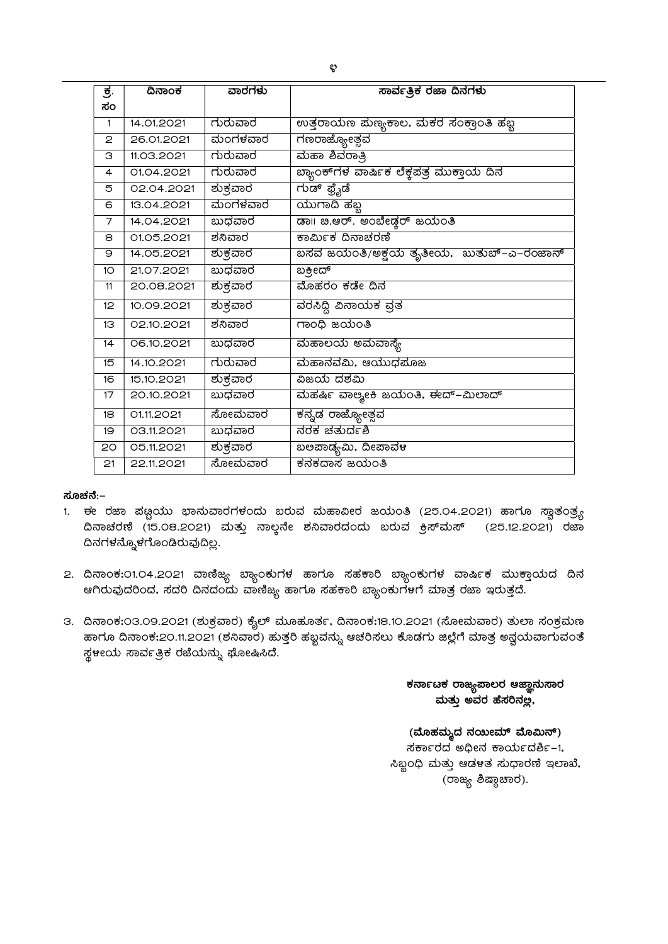| ಕ.              | ದಿನಾಂಕ     | ವಾರಗಳು   | ಸಾರ್ವತ್ರಿಕ ರಜಾ ದಿನಗಳು                         |
|-----------------|------------|----------|-----------------------------------------------|
| ಸಂ              |            |          |                                               |
| 1               | 14.01.2021 | ಗುರುವಾರ  | ಉತ್ತರಾಯಣ ಮಣ್ಯಕಾಲ, ಮಕರ ಸಂಕ್ರಾಂತಿ ಹಬ್ಬ          |
| 2               | 26.01.2021 | ಮಂಗಳವಾರ  | ಗಣರಾಜ್ಯೋತ್ಸವ                                  |
| З               | 11.03.2021 | ಗುರುವಾರ  | ಮಹಾ ಶಿವರಾತ್ರಿ                                 |
| $\overline{4}$  | 01.04.2021 | ಗುರುವಾರ  | ಬ್ಯಾಂಕ್nಳ ವಾರ್ಷಿಕ ಲೆಕ್ತಪತ್ರ ಮುಕ್ತಾಯ ದಿನ       |
| 5               | 02.04.2021 | ಶುಕ್ರವಾರ | ಗುಡ್ ಫ್ರೈಡೆ                                   |
| 6               | 13.04.2021 | ಮಂಗಳವಾರ  | ಯುಗಾದಿ ಹೆಬ್ಬ                                  |
| 7               | 14.04.2021 | ಬುಧವಾರ   |                                               |
| 8               | 01.05.2021 | ಶನಿವಾರ   | ಕಾರ್ಮಿಕ ದಿನಾಚರಣೆ                              |
| 9               | 14.05.2021 | ಶುಕ್ರವಾರ | ಬಸವ ಜಯಂತಿ/ಅಕ್ಷಯ ತೃತೀಯ, ಖುತುಬ್–ಎ–ರಂಜಾನ್        |
| 10 <sup>2</sup> | 21.07.2021 | ಬುಧವಾರ   | ಬಕ್ರೀದ್                                       |
| 11              | 20.08.2021 | ಶುಕ್ರವಾರ | ಮೊಹರಂ ಕಡೇ ದಿನ                                 |
| 12 <sup>°</sup> | 10.09.2021 | ಶುಕ್ರವಾರ | ವರಸಿದ್ದಿ ವಿನಾಯಕ ವ್ರತ                          |
| 13              | 02.10.2021 | ಶನಿವಾರ   | ಗಾಂಧಿ ಜಯಂತಿ                                   |
| 14              | 06.10.2021 | ಬುಧವಾರ   | ಮಹಾಲಯ ಅಮವಾಸ್ಯೆ                                |
| 15              | 14.10.2021 | ಗುರುವಾರ  | ಮಹಾನವಮಿ, ಆಯುಧಮೊಜ                              |
| 16              | 15.10.2021 | ಶುಕ್ರವಾರ | ವಿಜಯ ದಶಮಿ                                     |
| 17              | 20.10.2021 | ಬುಧವಾರ   | ಮಹರ್ಷಿ ವಾ <del>ಲ್ಯೕಕಿ</del> ಜಯಂತಿ, ಈದ್–ಮಿಲಾದ್ |
| 18              | 01.11.2021 | ಸೋಮವಾರ   | <mark>ಕನ್ನಡ ರಾಜ್ಯ</mark> ೋತ್ಸವ                |
| 19              | 03.11.2021 | ಬುಧವಾರ   | ನರಕ ಚತುರ್ದಶಿ                                  |
| 20              | 05.11.2021 | ಶುಕ್ರವಾರ | ಬಅಪಾಡ್ಯಮಿ, ದೀಪಾವಳ                             |
| 21              | 22.11.2021 | ಸೋಮವಾರ   | ಕನಕದಾಸ ಜಯಂತಿ                                  |

#### ಸೂಚನೆ:–

- 1. ಈ ರಜಾ ಪಟ್ಣಯು ಭಾನುವಾರಗಳಂದು ಬರುವ ಮಹಾವೀರ ಜಯಂತಿ (25.04.2021) ಹಾಗೂ ಸ್ವಾತಂತ್ರ್ಯ  $\,$  ದಿನಾಚರಣೆ (15.08.2021) ಮತ್ತು ನಾಲ್ಲನೇ ಶನಿವಾರದಂದು ಬರುವ ಕ್ರಿಸ್**ಮಸ್** (25.12.2021) ರಜಾ ದಿನಗಳನ್ನೊಳಗೊಂಡಿರುವುದಿಲ್ಲ.
- 2. ದಿನಾಂಕ:01.04.2021 ವಾಣಿಜ್ಯ ಬ್ಯಾಂಕುಗಳ ಹಾಗೂ ಸಹಕಾರಿ ಬ್ಯಾಂಕುಗಳ ವಾರ್ಷಿಕ ಮುಕ್ತಾಯದ ದಿನ ಆಗಿರುವುದರಿಂದ, ಸದರಿ ದಿನದಂದು ವಾಣಿಜ್ಯ ಹಾಗೂ ಸಹಕಾರಿ ಬ್ಯಾಂಕುಗಳಗೆ ಮಾತ್ರ ರಜಾ ಇರುತ್ತದೆ.
- 3. ದಿನಾಂಕ:03.09.2021 (ಶುಕ್ರವಾರ) ಕೈಲ್ ಮೂಹೂರ್ತ, ದಿನಾಂಕ:18.10.2021 (ಸೋಮವಾರ) ತುಲಾ ಸಂಕ್ರಮಣ ಹಾಗೂ ದಿನಾಂಕ:20.11.2021 (ಶನಿವಾರ) ಹುತ್ತರಿ ಹಬ್ಬವನ್ನು ಆಚರಿಸಲು ಕೊಡಗು ಜಿಲ್ಲೆಗೆ ಮಾತ್ರ ಅನ್ವಯವಾಗುವಂತೆ ಸ್ಥಳೀಯ ಸಾರ್ವತ್ರಿಕ ರಜೆಯನ್ನು ಘೋಷಿಸಿದೆ.

#### ಕರ್ನಾಟಕ ರಾಜ್ಯುಪಾಲರ ಆಜ್ಞಾನುಸಾರ ಮತ್ತು ಅವರ ಹೆಸರಿನಲ್ಲ,

### (ಮೊಹಮ್ಮದ ನಯೀಮ್ ಮೊಮಿನ್) ಸರ್ಕಾರದ ಅಧೀನ ಕಾರ್ಯದರ್ಶಿ-1, ಸಿಬ್ಬಂಧಿ ಮತ್ತು ಆಡಳತ ಸುಧಾರಣಿ ಇಲಾಖೆ, (ರಾಜ್ಯ ಶಿಷ್ಲಾಚಾರ).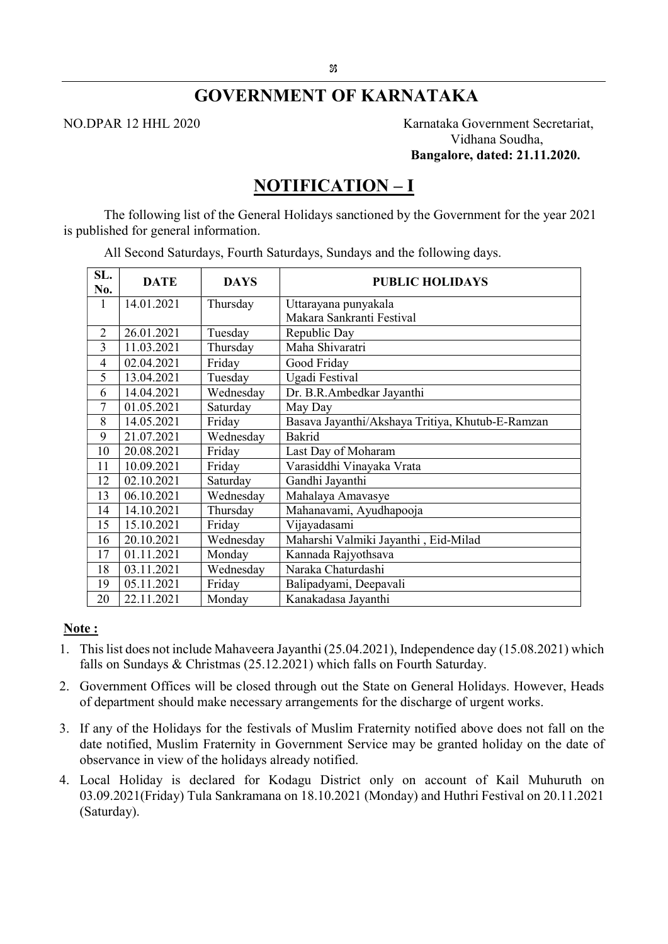# GOVERNMENT OF KARNATAKA

NO.DPAR 12 HHL 2020 Karnataka Government Secretariat, Vidhana Soudha, Bangalore, dated: 21.11.2020.

# NOTIFICATION – I

The following list of the General Holidays sanctioned by the Government for the year 2021 is published for general information.

| SL.<br>No.     | <b>DATE</b> | <b>DAYS</b> | <b>PUBLIC HOLIDAYS</b>                           |
|----------------|-------------|-------------|--------------------------------------------------|
| 1              | 14.01.2021  | Thursday    | Uttarayana punyakala                             |
|                |             |             | Makara Sankranti Festival                        |
| $\overline{2}$ | 26.01.2021  | Tuesday     | Republic Day                                     |
| 3              | 11.03.2021  | Thursday    | Maha Shivaratri                                  |
| $\overline{4}$ | 02.04.2021  | Friday      | Good Friday                                      |
| 5              | 13.04.2021  | Tuesday     | Ugadi Festival                                   |
| 6              | 14.04.2021  | Wednesday   | Dr. B.R.Ambedkar Jayanthi                        |
| 7              | 01.05.2021  | Saturday    | May Day                                          |
| 8              | 14.05.2021  | Friday      | Basava Jayanthi/Akshaya Tritiya, Khutub-E-Ramzan |
| 9              | 21.07.2021  | Wednesday   | <b>Bakrid</b>                                    |
| 10             | 20.08.2021  | Friday      | Last Day of Moharam                              |
| 11             | 10.09.2021  | Friday      | Varasiddhi Vinayaka Vrata                        |
| 12             | 02.10.2021  | Saturday    | Gandhi Jayanthi                                  |
| 13             | 06.10.2021  | Wednesday   | Mahalaya Amavasye                                |
| 14             | 14.10.2021  | Thursday    | Mahanavami, Ayudhapooja                          |
| 15             | 15.10.2021  | Friday      | Vijayadasami                                     |
| 16             | 20.10.2021  | Wednesday   | Maharshi Valmiki Jayanthi, Eid-Milad             |
| 17             | 01.11.2021  | Monday      | Kannada Rajyothsava                              |
| 18             | 03.11.2021  | Wednesday   | Naraka Chaturdashi                               |
| 19             | 05.11.2021  | Friday      | Balipadyami, Deepavali                           |
| 20             | 22.11.2021  | Monday      | Kanakadasa Jayanthi                              |

All Second Saturdays, Fourth Saturdays, Sundays and the following days.

### Note:

- 1. This list does not include Mahaveera Jayanthi (25.04.2021), Independence day (15.08.2021) which falls on Sundays & Christmas (25.12.2021) which falls on Fourth Saturday.
- 2. Government Offices will be closed through out the State on General Holidays. However, Heads of department should make necessary arrangements for the discharge of urgent works.
- 3. If any of the Holidays for the festivals of Muslim Fraternity notified above does not fall on the date notified, Muslim Fraternity in Government Service may be granted holiday on the date of observance in view of the holidays already notified.
- 4. Local Holiday is declared for Kodagu District only on account of Kail Muhuruth on 03.09.2021(Friday) Tula Sankramana on 18.10.2021 (Monday) and Huthri Festival on 20.11.2021 (Saturday).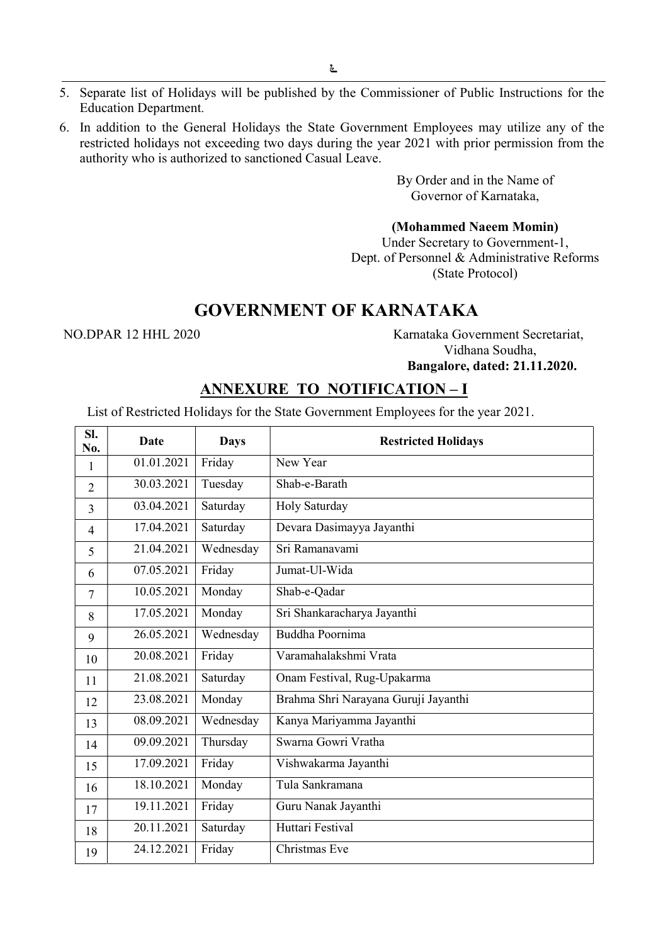- 5. Separate list of Holidays will be published by the Commissioner of Public Instructions for the Education Department.
- 6. In addition to the General Holidays the State Government Employees may utilize any of the restricted holidays not exceeding two days during the year 2021 with prior permission from the authority who is authorized to sanctioned Casual Leave.

By Order and in the Name of Governor of Karnataka,

#### (Mohammed Naeem Momin)

Under Secretary to Government-1, Dept. of Personnel & Administrative Reforms (State Protocol)

# GOVERNMENT OF KARNATAKA

NO.DPAR 12 HHL 2020 Karnataka Government Secretariat, Vidhana Soudha, Bangalore, dated: 21.11.2020.

## ANNEXURE TO NOTIFICATION – I

List of Restricted Holidays for the State Government Employees for the year 2021.

| SI.<br>No.               | Date       | <b>Days</b> | <b>Restricted Holidays</b>           |
|--------------------------|------------|-------------|--------------------------------------|
| 1                        | 01.01.2021 | Friday      | New Year                             |
| $\overline{2}$           | 30.03.2021 | Tuesday     | Shab-e-Barath                        |
| 3                        | 03.04.2021 | Saturday    | Holy Saturday                        |
| 4                        | 17.04.2021 | Saturday    | Devara Dasimayya Jayanthi            |
| $\overline{\phantom{0}}$ | 21.04.2021 | Wednesday   | Sri Ramanavami                       |
| 6                        | 07.05.2021 | Friday      | Jumat-Ul-Wida                        |
| 7                        | 10.05.2021 | Monday      | Shab-e-Qadar                         |
| 8                        | 17.05.2021 | Monday      | Sri Shankaracharya Jayanthi          |
| 9                        | 26.05.2021 | Wednesday   | Buddha Poornima                      |
| 10                       | 20.08.2021 | Friday      | Varamahalakshmi Vrata                |
| 11                       | 21.08.2021 | Saturday    | Onam Festival, Rug-Upakarma          |
| 12                       | 23.08.2021 | Monday      | Brahma Shri Narayana Guruji Jayanthi |
| 13                       | 08.09.2021 | Wednesday   | Kanya Mariyamma Jayanthi             |
| 14                       | 09.09.2021 | Thursday    | Swarna Gowri Vratha                  |
| 15                       | 17.09.2021 | Friday      | Vishwakarma Jayanthi                 |
| 16                       | 18.10.2021 | Monday      | Tula Sankramana                      |
| 17                       | 19.11.2021 | Friday      | Guru Nanak Jayanthi                  |
| 18                       | 20.11.2021 | Saturday    | Huttari Festival                     |
| 19                       | 24.12.2021 | Friday      | Christmas Eve                        |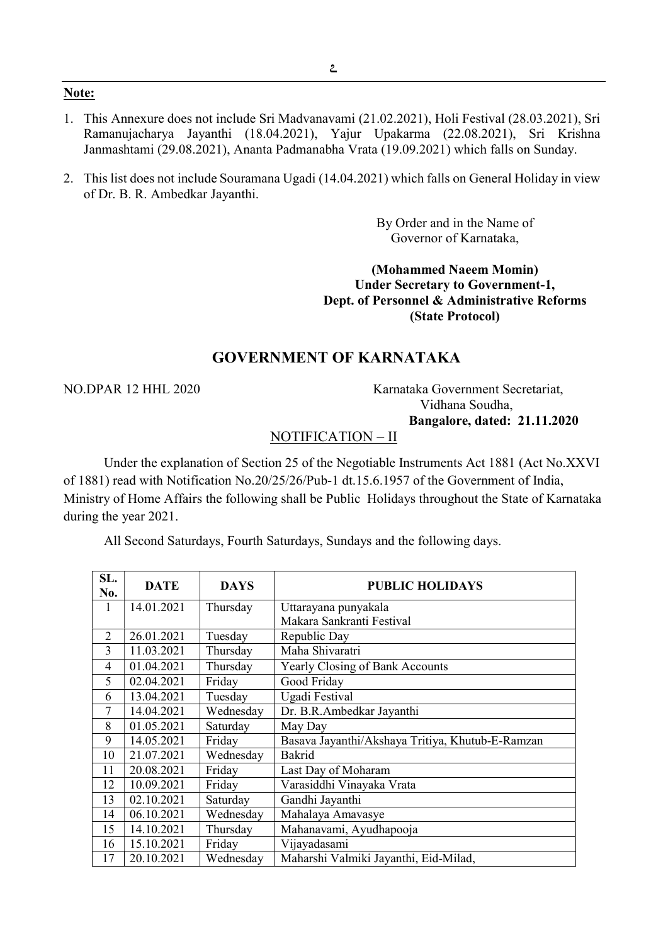- 1. This Annexure does not include Sri Madvanavami (21.02.2021), Holi Festival (28.03.2021), Sri Ramanujacharya Jayanthi (18.04.2021), Yajur Upakarma (22.08.2021), Sri Krishna Janmashtami (29.08.2021), Ananta Padmanabha Vrata (19.09.2021) which falls on Sunday.
- 2. This list does not include Souramana Ugadi (14.04.2021) which falls on General Holiday in view of Dr. B. R. Ambedkar Jayanthi.

By Order and in the Name of Governor of Karnataka,

(Mohammed Naeem Momin) Under Secretary to Government-1, Dept. of Personnel & Administrative Reforms (State Protocol)

## GOVERNMENT OF KARNATAKA

NO.DPAR 12 HHL 2020 Karnataka Government Secretariat, Vidhana Soudha, Bangalore, dated: 21.11.2020

## NOTIFICATION – II

Under the explanation of Section 25 of the Negotiable Instruments Act 1881 (Act No.XXVI of 1881) read with Notification No.20/25/26/Pub-1 dt.15.6.1957 of the Government of India, Ministry of Home Affairs the following shall be Public Holidays throughout the State of Karnataka during the year 2021.

All Second Saturdays, Fourth Saturdays, Sundays and the following days.

| SL.<br>No. | <b>DATE</b> | <b>DAYS</b> | <b>PUBLIC HOLIDAYS</b>                           |
|------------|-------------|-------------|--------------------------------------------------|
| 1          | 14.01.2021  | Thursday    | Uttarayana punyakala                             |
|            |             |             | Makara Sankranti Festival                        |
| 2          | 26.01.2021  | Tuesday     | Republic Day                                     |
| 3          | 11.03.2021  | Thursday    | Maha Shivaratri                                  |
| 4          | 01.04.2021  | Thursday    | <b>Yearly Closing of Bank Accounts</b>           |
| 5          | 02.04.2021  | Friday      | Good Friday                                      |
| 6          | 13.04.2021  | Tuesday     | Ugadi Festival                                   |
| 7          | 14.04.2021  | Wednesday   | Dr. B.R.Ambedkar Jayanthi                        |
| 8          | 01.05.2021  | Saturday    | May Day                                          |
| 9          | 14.05.2021  | Friday      | Basava Jayanthi/Akshaya Tritiya, Khutub-E-Ramzan |
| 10         | 21.07.2021  | Wednesday   | Bakrid                                           |
| 11         | 20.08.2021  | Friday      | Last Day of Moharam                              |
| 12         | 10.09.2021  | Friday      | Varasiddhi Vinayaka Vrata                        |
| 13         | 02.10.2021  | Saturday    | Gandhi Jayanthi                                  |
| 14         | 06.10.2021  | Wednesday   | Mahalaya Amavasye                                |
| 15         | 14.10.2021  | Thursday    | Mahanavami, Ayudhapooja                          |
| 16         | 15.10.2021  | Friday      | Vijayadasami                                     |
| 17         | 20.10.2021  | Wednesday   | Maharshi Valmiki Jayanthi, Eid-Milad,            |